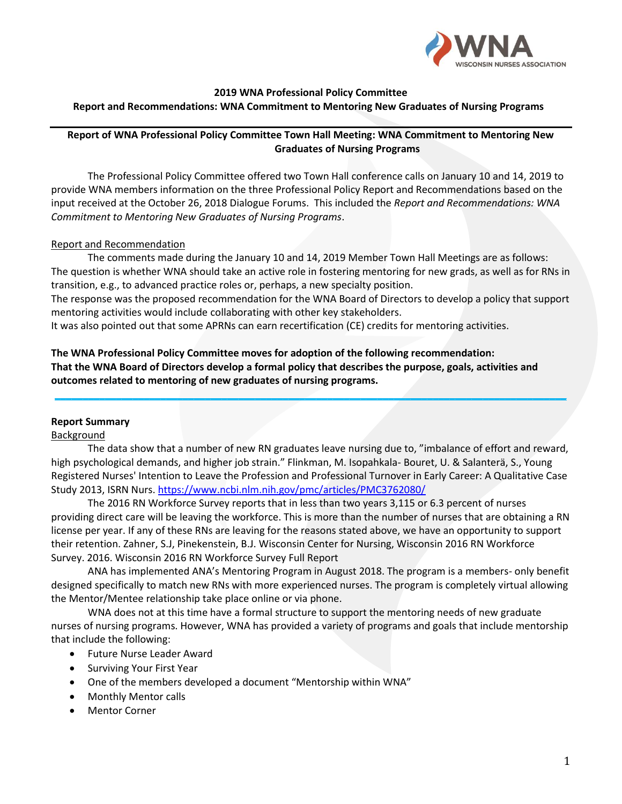

#### **2019 WNA Professional Policy Committee Report and Recommendations: WNA Commitment to Mentoring New Graduates of Nursing Programs**

## **Report of WNA Professional Policy Committee Town Hall Meeting: WNA Commitment to Mentoring New Graduates of Nursing Programs**

The Professional Policy Committee offered two Town Hall conference calls on January 10 and 14, 2019 to provide WNA members information on the three Professional Policy Report and Recommendations based on the input received at the October 26, 2018 Dialogue Forums. This included the *Report and Recommendations: WNA Commitment to Mentoring New Graduates of Nursing Programs*.

### Report and Recommendation

The comments made during the January 10 and 14, 2019 Member Town Hall Meetings are as follows: The question is whether WNA should take an active role in fostering mentoring for new grads, as well as for RNs in transition, e.g., to advanced practice roles or, perhaps, a new specialty position.

The response was the proposed recommendation for the WNA Board of Directors to develop a policy that support mentoring activities would include collaborating with other key stakeholders.

It was also pointed out that some APRNs can earn recertification (CE) credits for mentoring activities.

# **The WNA Professional Policy Committee moves for adoption of the following recommendation: That the WNA Board of Directors develop a formal policy that describes the purpose, goals, activities and outcomes related to mentoring of new graduates of nursing programs.**

## **Report Summary**

## Background

The data show that a number of new RN graduates leave nursing due to, "imbalance of effort and reward, high psychological demands, and higher job strain." Flinkman, M. Isopahkala- Bouret, U. & Salanterä, S., Young Registered Nurses' Intention to Leave the Profession and Professional Turnover in Early Career: A Qualitative Case Study 2013, ISRN Nurs[. https://www.ncbi.nlm.nih.gov/pmc/articles/PMC3762080/](https://www.ncbi.nlm.nih.gov/pmc/articles/PMC3762080/)

**\_\_\_\_\_\_\_\_\_\_\_\_\_\_\_\_\_\_\_\_\_\_\_\_\_\_\_\_\_\_\_\_\_\_\_\_\_\_\_\_\_\_\_\_\_\_\_\_\_\_\_\_\_\_\_\_\_\_\_\_\_\_\_\_\_\_\_\_\_\_\_\_\_\_\_\_\_\_\_\_\_\_\_\_\_\_\_\_\_\_\_\_**

The 2016 RN Workforce Survey reports that in less than two years 3,115 or 6.3 percent of nurses providing direct care will be leaving the workforce. This is more than the number of nurses that are obtaining a RN license per year. If any of these RNs are leaving for the reasons stated above, we have an opportunity to support their retention. Zahner, S.J, Pinekenstein, B.J. Wisconsin Center for Nursing, Wisconsin 2016 RN Workforce Survey. 2016. Wisconsin 2016 RN Workforce Survey Full Report

ANA has implemented ANA's Mentoring Program in August 2018. The program is a members- only benefit designed specifically to match new RNs with more experienced nurses. The program is completely virtual allowing the Mentor/Mentee relationship take place online or via phone.

WNA does not at this time have a formal structure to support the mentoring needs of new graduate nurses of nursing programs. However, WNA has provided a variety of programs and goals that include mentorship that include the following:

- Future Nurse Leader Award
- Surviving Your First Year
- One of the members developed a document "Mentorship within WNA"
- Monthly Mentor calls
- **Mentor Corner**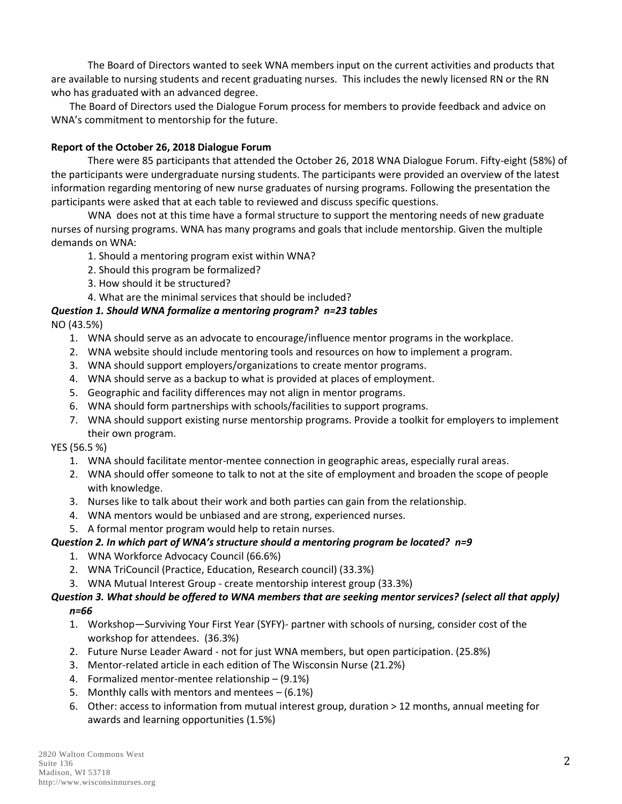The Board of Directors wanted to seek WNA members input on the current activities and products that are available to nursing students and recent graduating nurses. This includes the newly licensed RN or the RN who has graduated with an advanced degree.

The Board of Directors used the Dialogue Forum process for members to provide feedback and advice on WNA's commitment to mentorship for the future.

# **Report of the October 26, 2018 Dialogue Forum**

There were 85 participants that attended the October 26, 2018 WNA Dialogue Forum. Fifty-eight (58%) of the participants were undergraduate nursing students. The participants were provided an overview of the latest information regarding mentoring of new nurse graduates of nursing programs. Following the presentation the participants were asked that at each table to reviewed and discuss specific questions.

WNA does not at this time have a formal structure to support the mentoring needs of new graduate nurses of nursing programs. WNA has many programs and goals that include mentorship. Given the multiple demands on WNA:

- 1. Should a mentoring program exist within WNA?
- 2. Should this program be formalized?
- 3. How should it be structured?
- 4. What are the minimal services that should be included?

# *Question 1. Should WNA formalize a mentoring program? n=23 tables*

NO (43.5%)

- 1. WNA should serve as an advocate to encourage/influence mentor programs in the workplace.
- 2. WNA website should include mentoring tools and resources on how to implement a program.
- 3. WNA should support employers/organizations to create mentor programs.
- 4. WNA should serve as a backup to what is provided at places of employment.
- 5. Geographic and facility differences may not align in mentor programs.
- 6. WNA should form partnerships with schools/facilities to support programs.
- 7. WNA should support existing nurse mentorship programs. Provide a toolkit for employers to implement their own program.

YES (56.5 %)

- 1. WNA should facilitate mentor-mentee connection in geographic areas, especially rural areas.
- 2. WNA should offer someone to talk to not at the site of employment and broaden the scope of people with knowledge.
- 3. Nurses like to talk about their work and both parties can gain from the relationship.
- 4. WNA mentors would be unbiased and are strong, experienced nurses.
- 5. A formal mentor program would help to retain nurses.

## *Question 2. In which part of WNA's structure should a mentoring program be located? n=9*

- 1. WNA Workforce Advocacy Council (66.6%)
- 2. WNA TriCouncil (Practice, Education, Research council) (33.3%)
- 3. WNA Mutual Interest Group create mentorship interest group (33.3%)

# *Question 3. What should be offered to WNA members that are seeking mentor services? (select all that apply) n=66*

- 1. Workshop—Surviving Your First Year (SYFY)- partner with schools of nursing, consider cost of the workshop for attendees. (36.3%)
- 2. Future Nurse Leader Award not for just WNA members, but open participation. (25.8%)
- 3. Mentor-related article in each edition of The Wisconsin Nurse (21.2%)
- 4. Formalized mentor-mentee relationship (9.1%)
- 5. Monthly calls with mentors and mentees (6.1%)
- 6. Other: access to information from mutual interest group, duration > 12 months, annual meeting for awards and learning opportunities (1.5%)